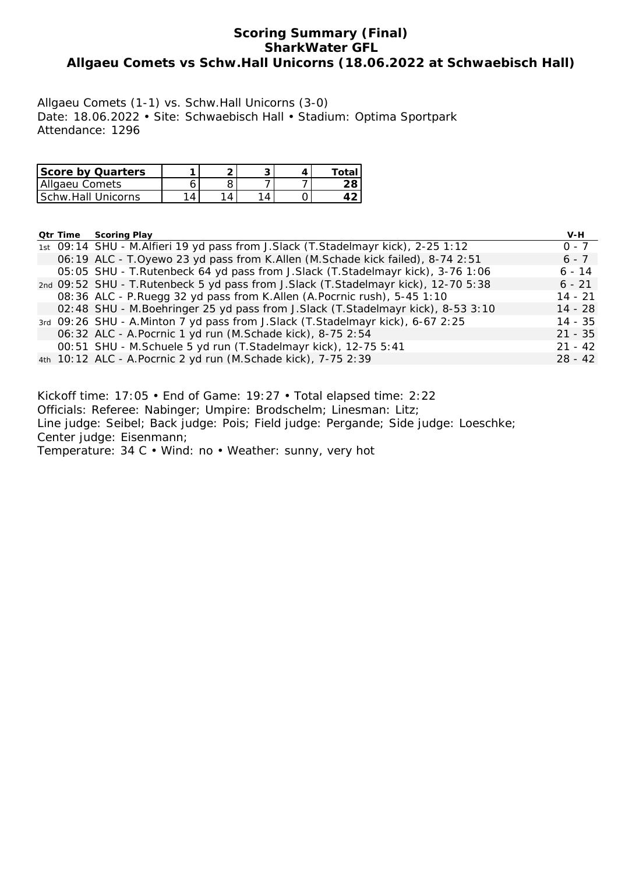# **Scoring Summary (Final) SharkWater GFL Allgaeu Comets vs Schw.Hall Unicorns (18.06.2022 at Schwaebisch Hall)**

Allgaeu Comets (1-1) vs. Schw.Hall Unicorns (3-0) Date: 18.06.2022 • Site: Schwaebisch Hall • Stadium: Optima Sportpark Attendance: 1296

| <b>Score by Quarters</b>  |  |  | Total |
|---------------------------|--|--|-------|
| Allgaeu Comets            |  |  |       |
| <b>Schw Hall Unicorns</b> |  |  |       |

### **Qtr Time Scoring Play V-H**

|  |                                                                                     | .         |
|--|-------------------------------------------------------------------------------------|-----------|
|  | 1st 09:14 SHU - M. Alfieri 19 yd pass from J. Slack (T. Stadelmayr kick), 2-25 1:12 | $0 - 7$   |
|  | 06:19 ALC - T.Oyewo 23 yd pass from K.Allen (M.Schade kick failed), 8-74 2:51       | $6 - 7$   |
|  | 05:05 SHU - T.Rutenbeck 64 yd pass from J.Slack (T.Stadelmayr kick), 3-76 1:06      | 6 - 14    |
|  | 2nd 09:52 SHU - T.Rutenbeck 5 yd pass from J.Slack (T.Stadelmayr kick), 12-70 5:38  | $6 - 21$  |
|  | 08:36 ALC - P.Ruegg 32 yd pass from K.Allen (A.Pocrnic rush), 5-45 1:10             | $14 - 21$ |
|  | 02:48 SHU - M.Boehringer 25 yd pass from J.Slack (T.Stadelmayr kick), 8-53 3:10     | $14 - 28$ |
|  | 3rd 09:26 SHU - A.Minton 7 yd pass from J.Slack (T.Stadelmayr kick), 6-67 2:25      | 14 - 35   |
|  | 06:32 ALC - A. Pocrnic 1 yd run (M. Schade kick), 8-75 2:54                         | $21 - 35$ |
|  | 00:51 SHU - M.Schuele 5 yd run (T.Stadelmayr kick), 12-75 5:41                      | $21 - 42$ |
|  | 4th 10:12 ALC - A. Pocrnic 2 yd run (M. Schade kick), 7-75 2:39                     | $28 - 42$ |
|  |                                                                                     |           |

Kickoff time: 17:05 • End of Game: 19:27 • Total elapsed time: 2:22 Officials: Referee: Nabinger; Umpire: Brodschelm; Linesman: Litz; Line judge: Seibel; Back judge: Pois; Field judge: Pergande; Side judge: Loeschke; Center judge: Eisenmann; Temperature: 34 C • Wind: no • Weather: sunny, very hot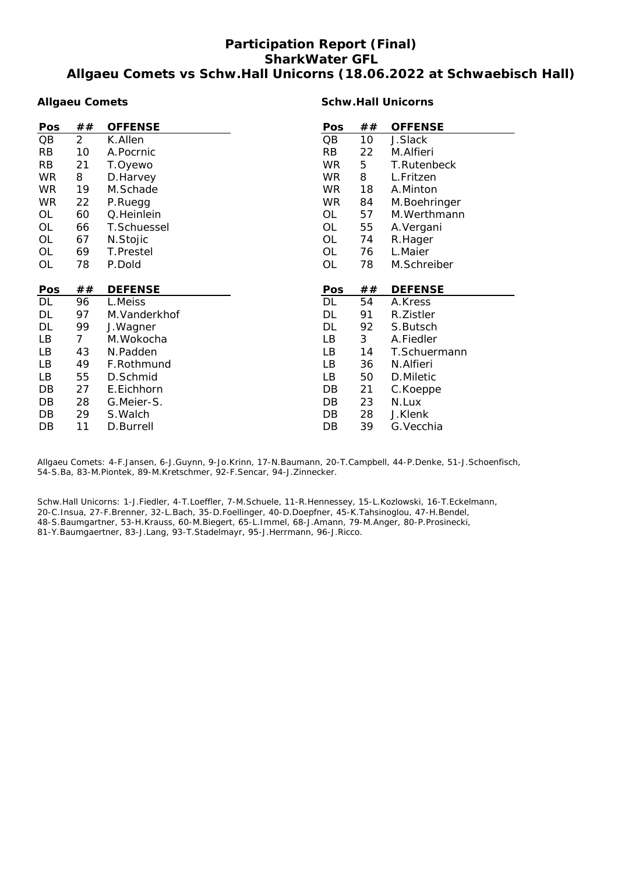# **Participation Report (Final) SharkWater GFL Allgaeu Comets vs Schw.Hall Unicorns (18.06.2022 at Schwaebisch Hall)**

### **Allgaeu Comets**

### **Schw.Hall Unicorns**

| Pos        | ##             | <b>OFFENSE</b> | Pos       | ## | <b>OFFENSE</b> |
|------------|----------------|----------------|-----------|----|----------------|
| QB         | $\overline{2}$ | K.Allen        | QB        | 10 | J.Slack        |
| <b>RB</b>  | 10             | A.Pocrnic      | <b>RB</b> | 22 | M.Alfieri      |
| <b>RB</b>  | 21             | T.Oyewo        | <b>WR</b> | 5  | T.Rutenbeck    |
| <b>WR</b>  | 8              | D.Harvey       | WR.       | 8  | L.Fritzen      |
| <b>WR</b>  | 19             | M.Schade       | WR.       | 18 | A.Minton       |
| <b>WR</b>  | 22             | P.Ruegg        | <b>WR</b> | 84 | M.Boehringer   |
| OL         | 60             | Q.Heinlein     | OL        | 57 | M.Werthmann    |
| <b>OL</b>  | 66             | T.Schuessel    | OL        | 55 | A.Vergani      |
| OL         | 67             | N.Stojic       | OL        | 74 | R.Hager        |
| OL         | 69             | T.Prestel      | OL        | 76 | L.Maier        |
| <b>OL</b>  | 78             | P.Dold         | <b>OL</b> | 78 | M.Schreiber    |
|            |                |                |           |    |                |
|            |                |                |           |    |                |
| <b>Pos</b> | ##             | <b>DEFENSE</b> | Pos       | ## | <b>DEFENSE</b> |
| DL         | 96             | L.Meiss        | <b>DL</b> | 54 | A.Kress        |
| DL         | 97             | M.Vanderkhof   | DL        | 91 | R.Zistler      |
| DL         | 99             | J.Wagner       | DL        | 92 | S.Butsch       |
| LB         | $\overline{7}$ | M.Wokocha      | LB        | 3  | A.Fiedler      |
| LB         | 43             | N.Padden       | LB        | 14 | T.Schuermann   |
| LB         | 49             | F.Rothmund     | LВ        | 36 | N.Alfieri      |
| LB         | 55             | D.Schmid       | LB        | 50 | D.Miletic      |
| DB         | 27             | E.Eichhorn     | DB        | 21 | C.Koeppe       |
| DB         | 28             | G.Meier-S.     | DB        | 23 | N.Lux          |
| DB         | 29             | S. Walch       | DB        | 28 | J.Klenk        |

Allgaeu Comets: 4-F.Jansen, 6-J.Guynn, 9-Jo.Krinn, 17-N.Baumann, 20-T.Campbell, 44-P.Denke, 51-J.Schoenfisch, 54-S.Ba, 83-M.Piontek, 89-M.Kretschmer, 92-F.Sencar, 94-J.Zinnecker.

Schw.Hall Unicorns: 1-J.Fiedler, 4-T.Loeffler, 7-M.Schuele, 11-R.Hennessey, 15-L.Kozlowski, 16-T.Eckelmann, 20-C.Insua, 27-F.Brenner, 32-L.Bach, 35-D.Foellinger, 40-D.Doepfner, 45-K.Tahsinoglou, 47-H.Bendel, 48-S.Baumgartner, 53-H.Krauss, 60-M.Biegert, 65-L.Immel, 68-J.Amann, 79-M.Anger, 80-P.Prosinecki, 81-Y.Baumgaertner, 83-J.Lang, 93-T.Stadelmayr, 95-J.Herrmann, 96-J.Ricco.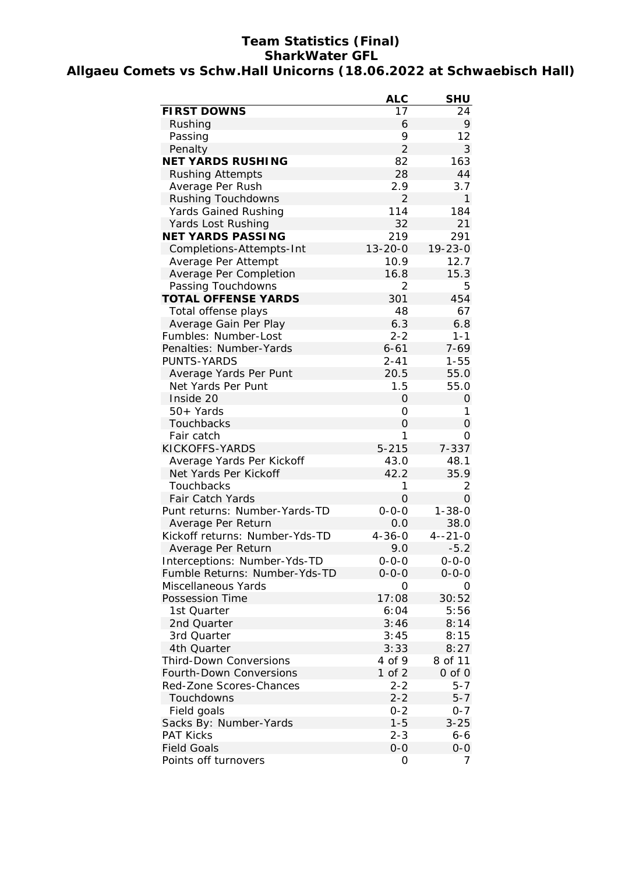# **Team Statistics (Final) SharkWater GFL Allgaeu Comets vs Schw.Hall Unicorns (18.06.2022 at Schwaebisch Hall)**

|                                | <b>ALC</b>     | <b>SHU</b>    |
|--------------------------------|----------------|---------------|
| <b>FIRST DOWNS</b>             | 17             | 24            |
| Rushing                        | 6              | 9             |
| Passing                        | 9              | 12            |
| Penalty                        | $\overline{2}$ | 3             |
| <b>NET YARDS RUSHING</b>       | 82             | 163           |
| <b>Rushing Attempts</b>        | 28             | 44            |
| Average Per Rush               | 2.9            | 3.7           |
| <b>Rushing Touchdowns</b>      | $\overline{2}$ | 1             |
| Yards Gained Rushing           | 114            | 184           |
| Yards Lost Rushing             | 32             | 21            |
| <b>NET YARDS PASSING</b>       | 219            | 291           |
| Completions-Attempts-Int       | $13 - 20 - 0$  | $19 - 23 - 0$ |
| Average Per Attempt            | 10.9           | 12.7          |
| Average Per Completion         | 16.8           | 15.3          |
| Passing Touchdowns             | $\overline{2}$ | 5             |
| <b>TOTAL OFFENSE YARDS</b>     | 301            | 454           |
| Total offense plays            | 48             | 67            |
| Average Gain Per Play          | 6.3            | 6.8           |
| Fumbles: Number-Lost           | $2 - 2$        | $1 - 1$       |
| Penalties: Number-Yards        | $6 - 61$       | $7 - 69$      |
| PUNTS-YARDS                    | $2 - 41$       | $1 - 55$      |
| Average Yards Per Punt         | 20.5           | 55.0          |
| Net Yards Per Punt             | 1.5            | 55.0          |
| Inside 20                      | 0              | 0             |
| 50+ Yards                      | 0              | 1             |
| Touchbacks                     | 0              | 0             |
| Fair catch                     | 1              | 0             |
| KICKOFFS-YARDS                 | $5 - 215$      | 7-337         |
| Average Yards Per Kickoff      | 43.0           | 48.1          |
| Net Yards Per Kickoff          | 42.2           | 35.9          |
| Touchbacks                     | 1              | 2             |
| <b>Fair Catch Yards</b>        | $\overline{O}$ | 0             |
| Punt returns: Number-Yards-TD  | $0 - 0 - 0$    | $1 - 38 - 0$  |
| Average Per Return             | 0.0            | 38.0          |
| Kickoff returns: Number-Yds-TD | $4 - 36 - 0$   | $4 - 21 - 0$  |
| Average Per Return             | 9.0            | $-5.2$        |
| Interceptions: Number-Yds-TD   | $0 - 0 - 0$    | $0 - 0 - 0$   |
| Fumble Returns: Number-Yds-TD  | $0 - 0 - 0$    | $0 - 0 - 0$   |
| Miscellaneous Yards            | O              | 0             |
| <b>Possession Time</b>         | 17:08          | 30:52         |
| 1st Quarter                    | 6:04           | 5:56          |
| 2nd Quarter                    | 3:46           | 8:14          |
| 3rd Quarter                    | 3:45           | 8:15          |
| 4th Quarter                    | 3:33           | 8:27          |
| <b>Third-Down Conversions</b>  | 4 of 9         | 8 of 11       |
| Fourth-Down Conversions        | 1 of 2         | $0$ of $0$    |
| Red-Zone Scores-Chances        | $2 - 2$        | $5 - 7$       |
| Touchdowns                     | $2 - 2$        | $5 - 7$       |
| Field goals                    | $0 - 2$        | $0 - 7$       |
| Sacks By: Number-Yards         | $1 - 5$        | $3 - 25$      |
| <b>PAT Kicks</b>               | $2 - 3$        | $6 - 6$       |
| <b>Field Goals</b>             | $0 - 0$        | $0-0$         |
| Points off turnovers           | 0              | 7             |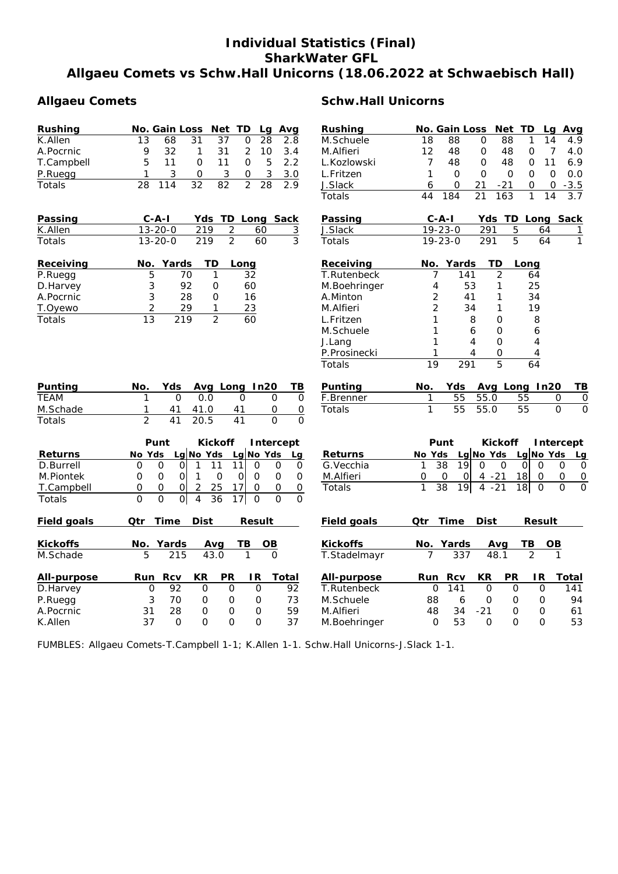# **Individual Statistics (Final) SharkWater GFL Allgaeu Comets vs Schw.Hall Unicorns (18.06.2022 at Schwaebisch Hall)**

| Rushing    |    | No. Gain Loss Net TD Lg Avg |                |                 |                  |      |     |
|------------|----|-----------------------------|----------------|-----------------|------------------|------|-----|
| K.Allen    | 13 | 68                          | 31             | -37             |                  | - 28 | 2.8 |
| A.Pocrnic  | Q  | 32                          | $\overline{1}$ | 31 <sup>-</sup> |                  | 2 10 | 3.4 |
| T.Campbell | 5  | 11                          | <sup>n</sup>   | 11              |                  | 5.   | 2.2 |
| P.Ruegg    |    |                             | O              | ર               | $\left( \right)$ | 3    | 3.0 |
| Totals     | 28 |                             | 32.            | 82.             |                  | 28   |     |

| Passing       | C-A-I         |      | Yds TD Long Sack |  |
|---------------|---------------|------|------------------|--|
| K.Allen       | $13 - 20 - 0$ | 219  | -60              |  |
| <b>Totals</b> | $13 - 20 - 0$ | -219 | 60               |  |

| Receiving | No. | Yards | <b>TD</b> | Long |
|-----------|-----|-------|-----------|------|
| P.Ruegg   |     | 70    |           | 32   |
| D.Harvey  | 3   | 92    | O)        | 60   |
| A.Pocrnic | 3   | 28    |           | 16   |
| T.Oyewo   |     | 29    |           | 23   |
| Totals    | 13  | 219   |           | 50   |

# Allgaeu Comets **Schw.Hall Unicorns**

| Rushing     |    | No. Gain Loss Net TD Lg Avg |    |     |   |    |        |
|-------------|----|-----------------------------|----|-----|---|----|--------|
| M.Schuele   | 18 | 88                          |    | 88  |   | 14 | 4.9    |
| M.Alfieri   | 12 | 48                          | O  | 48  | O |    | 4.O    |
| L.Kozlowski |    | 48                          |    | 48  | O | 11 | 6.9    |
| L.Fritzen   |    |                             |    |     |   |    | O.O    |
| J.Slack     |    |                             | 21 | -21 | 0 | 0  | $-3.5$ |
| Totals      |    | 184                         | 21 | 163 |   | 14 | 37     |

| Passing | $C - A - I$   |      | Yds TD Long Sack |  |
|---------|---------------|------|------------------|--|
| J.Slack | $19 - 23 - 0$ | 291  | 64               |  |
| Totals  | $19 - 23 - 0$ | -291 | 64               |  |

| Receiving    | No.            | Yards | TD | Long |
|--------------|----------------|-------|----|------|
| T.Rutenbeck  |                | 141   | 2  | 64   |
| M.Boehringer | 4              | 53    |    | 25   |
| A.Minton     | 2              | 41    |    | 34   |
| M.Alfieri    | $\overline{2}$ | 34    |    | 19   |
| L.Fritzen    | 1              | 8     | Ω  | 8    |
| M.Schuele    | 1              | 6     | Ω  | 6    |
| J.Lang       | 1              | 4     | Ω  | 4    |
| P.Prosinecki |                |       | Ω  | 4    |
| Totals       | 19             | 291   | 5  |      |

| Punting       | No. |         | Yds Avg Long In20 | — ТВ |
|---------------|-----|---------|-------------------|------|
| <b>TFAM</b>   |     | n nn    |                   |      |
| M.Schade      |     | 41 41.0 | 41                |      |
| <b>Totals</b> |     | 41 20.5 | 41                |      |

| Punting   | No. |         |      | Yds Avg Long In20 TB |  |
|-----------|-----|---------|------|----------------------|--|
| F.Brenner |     | 55 55.0 | - 55 |                      |  |
| Totals    |     | 55 55.0 | 55   |                      |  |

|                 |          | Punt           |             | <b>Kickoff</b> |                | Intercept         |             |                    |        | Punt              |             | <b>Kickoff</b> |               | <b>Intercept</b>        |
|-----------------|----------|----------------|-------------|----------------|----------------|-------------------|-------------|--------------------|--------|-------------------|-------------|----------------|---------------|-------------------------|
| Returns         | No Yds   |                | $Lq$ No Yds |                |                | $Lq$ No Yds<br>Lg |             | <b>Returns</b>     | No Yds |                   | Lg No Yds   |                | Lg No Yds     | Lg                      |
| D.Burrell       | 0        | $\Omega$<br>Οl |             | 11             | $\Omega$       | $\Omega$          | $\Omega$    | G. Vecchia         |        | 38<br>19          | O           | O              | $\Omega$<br>O | $\Omega$<br>0           |
| M.Piontek       | 0        | 0<br>$\Omega$  |             | $\Omega$       | 0l<br>$\Omega$ | $\Omega$          | $\Omega$    | M.Alfieri          | 0      | <sup>O</sup><br>0 | $-21$<br>4  | 18             | O             | 0<br>0                  |
| T.Campbell      | 0        | $\Omega$<br>Ol |             | 25             | 0              | 0                 | 0           | Totals             | 1      | 38<br>191         | $4 - 21$    | 18l            | $\mathbf 0$   | $\mathbf 0$<br>$\Omega$ |
| Totals          | $\Omega$ | 0l<br>$\Omega$ | 4           | 36             | 17<br>$\Omega$ | $\Omega$          | $\mathbf 0$ |                    |        |                   |             |                |               |                         |
| Field goals     | Qtr      | Time           | <b>Dist</b> |                | <b>Result</b>  |                   |             | <b>Field goals</b> | Qtr    | Time              | <b>Dist</b> |                | <b>Result</b> |                         |
| <b>Kickoffs</b> | No.      | Yards          |             | Avg            | TВ             | <b>OB</b>         |             | <b>Kickoffs</b>    | No.    | Yards             | Avg         |                | ΤВ            | <b>OB</b>               |
| M.Schade        | 5        | 215            |             | 43.0           |                | $\Omega$          |             | T.Stadelmayr       | 7      | 337               | 48.1        |                | 2             |                         |
| All-purpose     | Run      | <b>Rcv</b>     | <b>KR</b>   | <b>PR</b>      | IR.            | Total             |             | All-purpose        | Run    | <b>Rcv</b>        | KR          | <b>PR</b>      | IR.           | Total                   |
| D.Harvey        | 0        | 92             | $\Omega$    | $\Omega$       | O              |                   | 92          | T.Rutenbeck        |        | 0<br>141          | $\Omega$    | 0              | O             | 141                     |
| P.Ruegg         | 3        | 70             | 0           | 0              | 0              |                   | 73          | M.Schuele          | 88     | 6                 | O           | 0              | O             | 94                      |
| A.Pocrnic       | 31       | 28             | $\Omega$    | 0              | $\Omega$       |                   | 59          | M.Alfieri          | 48     | 34                | $-21$       | 0              | O             | 61                      |
| K.Allen         | 37       | 0              | $\Omega$    | 0              | 0              |                   | 37          | M.Boehringer       |        | 53<br>0           | O           | Ο              | O             | 53                      |

FUMBLES: Allgaeu Comets-T.Campbell 1-1; K.Allen 1-1. Schw.Hall Unicorns-J.Slack 1-1.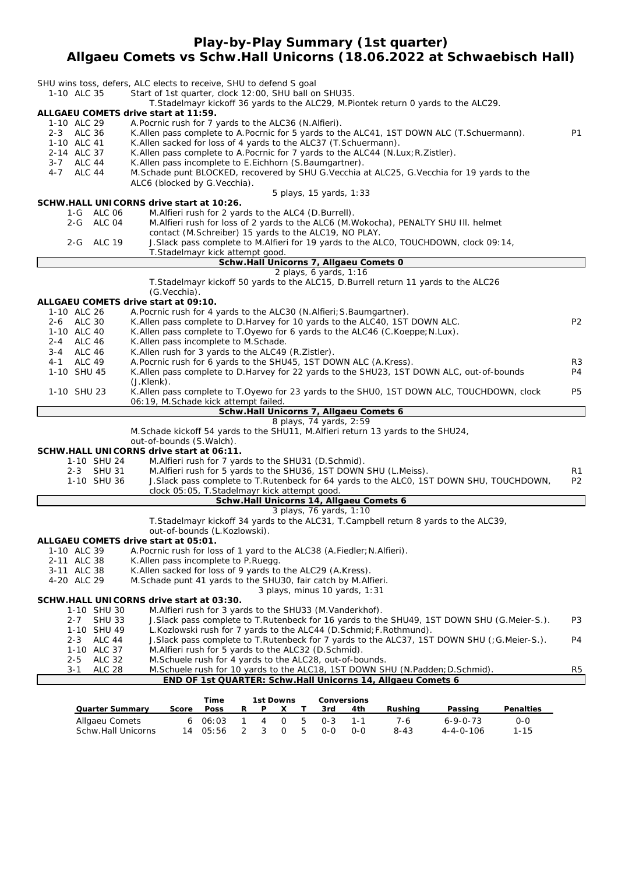### **Play-by-Play Summary (1st quarter) Allgaeu Comets vs Schw.Hall Unicorns (18.06.2022 at Schwaebisch Hall)**

|                                         | SHU wins toss, defers, ALC elects to receive, SHU to defend S goal                                                                                                  |                |
|-----------------------------------------|---------------------------------------------------------------------------------------------------------------------------------------------------------------------|----------------|
| 1-10 ALC 35                             | Start of 1st quarter, clock 12:00, SHU ball on SHU35.                                                                                                               |                |
|                                         | T. Stadelmayr kickoff 36 yards to the ALC29, M. Piontek return 0 yards to the ALC29.                                                                                |                |
| 1-10 ALC 29                             | ALLGAEU COMETS drive start at 11:59.<br>A. Pocrnic rush for 7 yards to the ALC36 (N. Alfieri).                                                                      |                |
| 2-3 ALC 36                              | K. Allen pass complete to A. Pocrnic for 5 yards to the ALC41, 1ST DOWN ALC (T. Schuermann).                                                                        | P1             |
| 1-10 ALC 41                             | K. Allen sacked for loss of 4 yards to the ALC37 (T. Schuermann).                                                                                                   |                |
| 2-14 ALC 37                             | K. Allen pass complete to A. Pocrnic for 7 yards to the ALC44 (N. Lux; R. Zistler).                                                                                 |                |
| 3-7 ALC 44                              | K. Allen pass incomplete to E. Eichhorn (S. Baumgartner).                                                                                                           |                |
| $4 - 7$<br>ALC 44                       | M. Schade punt BLOCKED, recovered by SHU G. Vecchia at ALC25, G. Vecchia for 19 yards to the<br>ALC6 (blocked by G.Vecchia).                                        |                |
|                                         | 5 plays, 15 yards, 1:33                                                                                                                                             |                |
|                                         | SCHW.HALL UNICORNS drive start at 10:26.                                                                                                                            |                |
| 1-G ALC 06                              | M. Alfieri rush for 2 yards to the ALC4 (D. Burrell).                                                                                                               |                |
| 2-G ALC 04                              | M. Alfieri rush for loss of 2 yards to the ALC6 (M. Wokocha), PENALTY SHU III. helmet<br>contact (M.Schreiber) 15 yards to the ALC19, NO PLAY.                      |                |
| 2-G ALC 19                              | J. Slack pass complete to M. Alfieri for 19 yards to the ALCO, TOUCHDOWN, clock 09:14,                                                                              |                |
|                                         | T.Stadelmayr kick attempt good.                                                                                                                                     |                |
|                                         | Schw.Hall Unicorns 7, Allgaeu Comets 0                                                                                                                              |                |
|                                         | 2 plays, 6 yards, 1:16                                                                                                                                              |                |
|                                         | T. Stadelmayr kickoff 50 yards to the ALC15, D. Burrell return 11 yards to the ALC26<br>(G.Vecchia).                                                                |                |
|                                         | ALLGAEU COMETS drive start at 09:10.                                                                                                                                |                |
| 1-10 ALC 26                             | A. Pocrnic rush for 4 yards to the ALC30 (N. Alfieri; S. Baumgartner).                                                                                              |                |
| 2-6 ALC 30                              | K.Allen pass complete to D.Harvey for 10 yards to the ALC40, 1ST DOWN ALC.                                                                                          | P <sub>2</sub> |
| 1-10 ALC 40                             | K. Allen pass complete to T. Oyewo for 6 yards to the ALC46 (C. Koeppe; N. Lux).                                                                                    |                |
| 2-4 ALC 46<br><b>ALC 46</b><br>3-4      | K.Allen pass incomplete to M.Schade.<br>K.Allen rush for 3 yards to the ALC49 (R.Zistler).                                                                          |                |
| 4-1 ALC 49                              | A.Pocrnic rush for 6 yards to the SHU45, 1ST DOWN ALC (A.Kress).                                                                                                    | R3             |
| 1-10 SHU 45                             | K.Allen pass complete to D.Harvey for 22 yards to the SHU23, 1ST DOWN ALC, out-of-bounds                                                                            | P4             |
|                                         | $(J.Klenk)$ .                                                                                                                                                       |                |
| 1-10 SHU 23                             | K. Allen pass complete to T. Oyewo for 23 yards to the SHUO, 1ST DOWN ALC, TOUCHDOWN, clock                                                                         | P5             |
|                                         | 06:19, M.Schade kick attempt failed.<br>Schw.Hall Unicorns 7, Allgaeu Comets 6                                                                                      |                |
|                                         | 8 plays, 74 yards, 2:59                                                                                                                                             |                |
|                                         | M.Schade kickoff 54 yards to the SHU11, M.Alfieri return 13 yards to the SHU24,                                                                                     |                |
|                                         | out-of-bounds (S. Walch).                                                                                                                                           |                |
| 1-10 SHU 24                             | SCHW.HALL UNICORNS drive start at 06:11.<br>M.Alfieri rush for 7 yards to the SHU31 (D.Schmid).                                                                     |                |
| 2-3 SHU 31                              | M.Alfieri rush for 5 yards to the SHU36, 1ST DOWN SHU (L.Meiss).                                                                                                    | R1             |
| 1-10 SHU 36                             | J. Slack pass complete to T. Rutenbeck for 64 yards to the ALCO, 1ST DOWN SHU, TOUCHDOWN,                                                                           | P <sub>2</sub> |
|                                         | clock 05:05, T.Stadelmayr kick attempt good.                                                                                                                        |                |
|                                         | Schw.Hall Unicorns 14, Allgaeu Comets 6                                                                                                                             |                |
|                                         | 3 plays, 76 yards, 1:10<br>T. Stadelmayr kickoff 34 yards to the ALC31, T. Campbell return 8 yards to the ALC39,                                                    |                |
|                                         | out-of-bounds (L.Kozlowski).                                                                                                                                        |                |
|                                         | ALLGAEU COMETS drive start at 05:01.                                                                                                                                |                |
| 1-10 ALC 39                             | A. Pocrnic rush for loss of 1 yard to the ALC38 (A. Fiedler; N. Alfieri).                                                                                           |                |
| 2-11 ALC 38                             | K. Allen pass incomplete to P. Ruegg.<br>K.Allen sacked for loss of 9 yards to the ALC29 (A.Kress).                                                                 |                |
| 3-11 ALC 38<br>4-20 ALC 29              | M. Schade punt 41 yards to the SHU30, fair catch by M. Alfieri.                                                                                                     |                |
|                                         | 3 plays, minus 10 yards, 1:31                                                                                                                                       |                |
|                                         | SCHW.HALL UNICORNS drive start at 03:30.                                                                                                                            |                |
| 1-10 SHU 30                             | M.Alfieri rush for 3 yards to the SHU33 (M.Vanderkhof).                                                                                                             |                |
| <b>SHU 33</b><br>$2 - 7$                | J. Slack pass complete to T. Rutenbeck for 16 yards to the SHU49, 1ST DOWN SHU (G. Meier-S.).                                                                       | P3             |
| 1-10 SHU 49<br>$2 - 3$<br><b>ALC 44</b> | L.Kozlowski rush for 7 yards to the ALC44 (D.Schmid; F.Rothmund).<br>J. Slack pass complete to T. Rutenbeck for 7 yards to the ALC37, 1ST DOWN SHU (; G. Meier-S.). | P4             |
| 1-10 ALC 37                             | M.Alfieri rush for 5 yards to the ALC32 (D.Schmid).                                                                                                                 |                |
| <b>ALC 32</b><br>2-5                    | M. Schuele rush for 4 yards to the ALC28, out-of-bounds.                                                                                                            |                |
| 3-1<br><b>ALC 28</b>                    | M. Schuele rush for 10 yards to the ALC18, 1ST DOWN SHU (N. Padden; D. Schmid).                                                                                     | R5             |
|                                         | END OF 1st QUARTER: Schw.Hall Unicorns 14, Allgaeu Comets 6                                                                                                         |                |

|                        |       | Time        |    | 1st Downs      |          |     |            | Conversions |          |                   |                  |
|------------------------|-------|-------------|----|----------------|----------|-----|------------|-------------|----------|-------------------|------------------|
| <b>Quarter Summary</b> | Score | <b>Poss</b> | R. | P.             |          |     | 3rd        | 4th         | Rushina  | Passing           | <b>Penalties</b> |
| Allgaeu Comets         |       | 606:03      |    | $\overline{4}$ | റ        | - 5 | $0 - 3$    | $1 - 1$     | 7-6      | $6 - 9 - 0 - 73$  | 0-0              |
| Schw.Hall Unicorns     |       | 14 05:56    |    |                | $\Omega$ | -5  | <u>ດ-ດ</u> | $O-O$       | $8 - 43$ | $4 - 4 - 0 - 106$ | $1 - 15$         |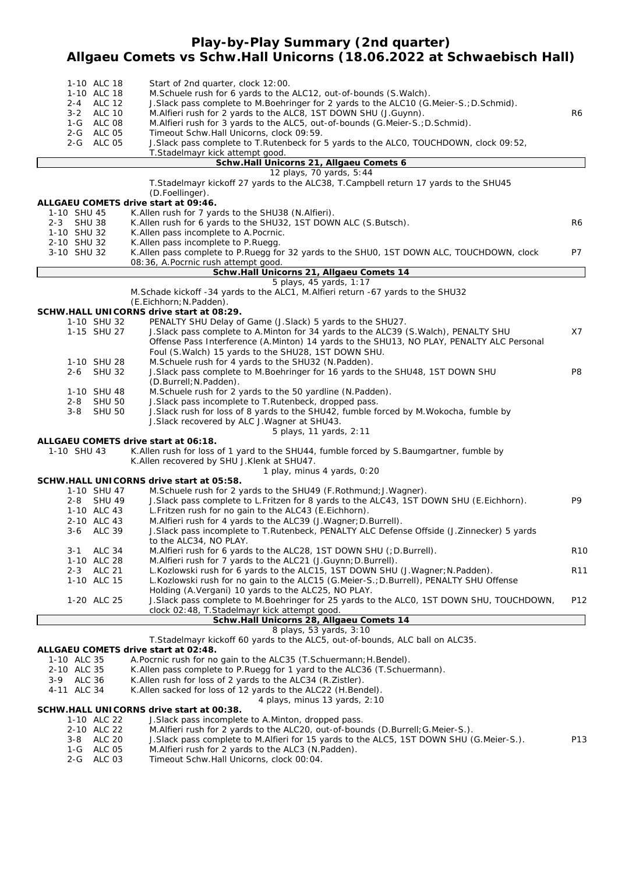# **Play-by-Play Summary (2nd quarter) Allgaeu Comets vs Schw.Hall Unicorns (18.06.2022 at Schwaebisch Hall)**

|             | 1-10 ALC 18<br>1-10 ALC 18<br>2-4 ALC 12<br>3-2 ALC 10<br>1-G ALC 08<br>2-G ALC 05<br>2-G ALC 05 | Start of 2nd quarter, clock 12:00.<br>M. Schuele rush for 6 yards to the ALC12, out-of-bounds (S. Walch).<br>J.Slack pass complete to M.Boehringer for 2 yards to the ALC10 (G.Meier-S.; D.Schmid).<br>M. Alfieri rush for 2 yards to the ALC8, 1ST DOWN SHU (J. Guynn).<br>M. Alfieri rush for 3 yards to the ALC5, out-of-bounds (G. Meier-S.; D. Schmid).<br>Timeout Schw.Hall Unicorns, clock 09:59.<br>J.Slack pass complete to T.Rutenbeck for 5 yards to the ALCO, TOUCHDOWN, clock 09:52,<br>T.Stadelmayr kick attempt good. | R <sub>6</sub> |
|-------------|--------------------------------------------------------------------------------------------------|--------------------------------------------------------------------------------------------------------------------------------------------------------------------------------------------------------------------------------------------------------------------------------------------------------------------------------------------------------------------------------------------------------------------------------------------------------------------------------------------------------------------------------------|----------------|
|             |                                                                                                  | Schw.Hall Unicorns 21, Allgaeu Comets 6                                                                                                                                                                                                                                                                                                                                                                                                                                                                                              |                |
|             |                                                                                                  | 12 plays, 70 yards, 5:44                                                                                                                                                                                                                                                                                                                                                                                                                                                                                                             |                |
|             |                                                                                                  | T. Stadelmayr kickoff 27 yards to the ALC38, T. Campbell return 17 yards to the SHU45                                                                                                                                                                                                                                                                                                                                                                                                                                                |                |
|             |                                                                                                  | (D.Foellinger).                                                                                                                                                                                                                                                                                                                                                                                                                                                                                                                      |                |
|             |                                                                                                  | ALLGAEU COMETS drive start at 09:46.                                                                                                                                                                                                                                                                                                                                                                                                                                                                                                 |                |
| 1-10 SHU 45 |                                                                                                  | K. Allen rush for 7 yards to the SHU38 (N. Alfieri).                                                                                                                                                                                                                                                                                                                                                                                                                                                                                 |                |
| 2-3 SHU 38  |                                                                                                  | K. Allen rush for 6 yards to the SHU32, 1ST DOWN ALC (S. Butsch).                                                                                                                                                                                                                                                                                                                                                                                                                                                                    | R6             |
| 1-10 SHU 32 |                                                                                                  | K.Allen pass incomplete to A.Pocrnic.                                                                                                                                                                                                                                                                                                                                                                                                                                                                                                |                |
| 2-10 SHU 32 |                                                                                                  | K. Allen pass incomplete to P. Ruegg.                                                                                                                                                                                                                                                                                                                                                                                                                                                                                                | <b>P7</b>      |
| 3-10 SHU 32 |                                                                                                  | K. Allen pass complete to P. Ruegg for 32 yards to the SHUO, 1ST DOWN ALC, TOUCHDOWN, clock<br>08:36, A.Pocrnic rush attempt good.                                                                                                                                                                                                                                                                                                                                                                                                   |                |
|             |                                                                                                  | Schw.Hall Unicorns 21, Allgaeu Comets 14                                                                                                                                                                                                                                                                                                                                                                                                                                                                                             |                |
|             |                                                                                                  | 5 plays, 45 yards, 1:17                                                                                                                                                                                                                                                                                                                                                                                                                                                                                                              |                |
|             |                                                                                                  | M.Schade kickoff -34 yards to the ALC1, M.Alfieri return -67 yards to the SHU32                                                                                                                                                                                                                                                                                                                                                                                                                                                      |                |
|             |                                                                                                  | (E.Eichhorn; N.Padden).                                                                                                                                                                                                                                                                                                                                                                                                                                                                                                              |                |
|             |                                                                                                  | SCHW.HALL UNICORNS drive start at 08:29.                                                                                                                                                                                                                                                                                                                                                                                                                                                                                             |                |
|             | 1-10 SHU 32                                                                                      | PENALTY SHU Delay of Game (J.Slack) 5 yards to the SHU27.                                                                                                                                                                                                                                                                                                                                                                                                                                                                            |                |
|             | 1-15 SHU 27                                                                                      | J. Slack pass complete to A. Minton for 34 yards to the ALC39 (S. Walch), PENALTY SHU                                                                                                                                                                                                                                                                                                                                                                                                                                                | X7             |
|             |                                                                                                  | Offense Pass Interference (A.Minton) 14 yards to the SHU13, NO PLAY, PENALTY ALC Personal                                                                                                                                                                                                                                                                                                                                                                                                                                            |                |
|             |                                                                                                  | Foul (S. Walch) 15 yards to the SHU28, 1ST DOWN SHU.                                                                                                                                                                                                                                                                                                                                                                                                                                                                                 |                |
|             | 1-10 SHU 28                                                                                      | M. Schuele rush for 4 yards to the SHU32 (N. Padden).                                                                                                                                                                                                                                                                                                                                                                                                                                                                                |                |
| $2 - 6$     | <b>SHU 32</b>                                                                                    | J. Slack pass complete to M. Boehringer for 16 yards to the SHU48, 1ST DOWN SHU                                                                                                                                                                                                                                                                                                                                                                                                                                                      | P8             |
|             |                                                                                                  | (D.Burrell; N.Padden).                                                                                                                                                                                                                                                                                                                                                                                                                                                                                                               |                |
|             | 1-10 SHU 48                                                                                      | M. Schuele rush for 2 yards to the 50 yardline (N. Padden).                                                                                                                                                                                                                                                                                                                                                                                                                                                                          |                |
| $2 - 8$     | <b>SHU 50</b>                                                                                    | J. Slack pass incomplete to T. Rutenbeck, dropped pass.                                                                                                                                                                                                                                                                                                                                                                                                                                                                              |                |
| $3 - 8$     | <b>SHU 50</b>                                                                                    | J. Slack rush for loss of 8 yards to the SHU42, fumble forced by M. Wokocha, fumble by                                                                                                                                                                                                                                                                                                                                                                                                                                               |                |
|             |                                                                                                  | J. Slack recovered by ALC J. Wagner at SHU43.                                                                                                                                                                                                                                                                                                                                                                                                                                                                                        |                |
|             |                                                                                                  | 5 plays, 11 yards, 2:11                                                                                                                                                                                                                                                                                                                                                                                                                                                                                                              |                |

### **ALLGAEU COMETS drive start at 06:18.**

1-10 SHU 43 K.Allen rush for loss of 1 yard to the SHU44, fumble forced by S.Baumgartner, fumble by K.Allen recovered by SHU J.Klenk at SHU47.

*1 play, minus 4 yards, 0:20*

### **SCHW.HALL UNICORNS drive start at 05:58.**

|             | FIW.FIALL UNILURIN.3 UHVE STALL AL U.S. 30.                                                                            |                  |
|-------------|------------------------------------------------------------------------------------------------------------------------|------------------|
| 1-10 SHU 47 | M. Schuele rush for 2 yards to the SHU49 (F. Rothmund; J. Wagner).                                                     |                  |
| 2-8 SHU 49  | J. Slack pass complete to L. Fritzen for 8 yards to the ALC43, 1ST DOWN SHU (E. Eichhorn).                             | P9               |
| 1-10 ALC 43 | L. Fritzen rush for no gain to the ALC43 (E. Eichhorn).                                                                |                  |
| 2-10 ALC 43 | M. Alfieri rush for 4 yards to the ALC39 (J. Wagner; D. Burrell).                                                      |                  |
| 3-6 ALC 39  | J. Slack pass incomplete to T. Rutenbeck, PENALTY ALC Defense Offside (J. Zinnecker) 5 yards<br>to the ALC34, NO PLAY. |                  |
| 3-1 ALC 34  | M. Alfieri rush for 6 yards to the ALC28, 1ST DOWN SHU (; D. Burrell).                                                 | R <sub>1</sub> C |
| 1-10 ALC 28 | M. Alfieri rush for 7 yards to the ALC21 (J. Guynn; D. Burrell).                                                       |                  |
| 2-3 ALC 21  | L. Kozlowski rush for 6 yards to the ALC15, 1ST DOWN SHU (J. Wagner; N. Padden).                                       | R <sub>11</sub>  |
| 1-10 ALC 15 | L.Kozlowski rush for no gain to the ALC15 (G.Meier-S.; D.Burrell), PENALTY SHU Offense                                 |                  |
|             | Holding (A. Vergani) 10 yards to the ALC25, NO PLAY.                                                                   |                  |
| 1-20 ALC 25 | J. Slack pass complete to M. Boehringer for 25 yards to the ALCO, 1ST DOWN SHU, TOUCHDOWN,                             | P <sub>12</sub>  |
|             | clock 02:48, T.Stadelmayr kick attempt good.                                                                           |                  |
|             | Cohu Holl Unicorne 28 Allgoou Comete 14                                                                                |                  |

#### **Schw.Hall Unicorns 28, Allgaeu Comets 14** *8 plays, 53 yards, 3:10*

T.Stadelmayr kickoff 60 yards to the ALC5, out-of-bounds, ALC ball on ALC35.

### **ALLGAEU COMETS drive start at 02:48.**

1-10 ALC 35 A.Pocrnic rush for no gain to the ALC35 (T.Schuermann;H.Bendel).

- 2-10 ALC 35 K.Allen pass complete to P.Ruegg for 1 yard to the ALC36 (T.Schuermann).<br>3-9 ALC 36 K.Allen rush for loss of 2 yards to the ALC34 (R.Zistler).
- 3-9 ALC 36 K.Allen rush for loss of 2 yards to the ALC34 (R.Zistler).
- 4-11 ALC 34 K.Allen sacked for loss of 12 yards to the ALC22 (H.Bendel).
	- *4 plays, minus 13 yards, 2:10*

### **SCHW.HALL UNICORNS drive start at 00:38.**

- 1-10 ALC 22 J.Slack pass incomplete to A.Minton, dropped pass.
	- 2-10 ALC 22 M.Alfieri rush for 2 yards to the ALC20, out-of-bounds (D.Burrell;G.Meier-S.).
	- 3-8 ALC 20 J.Slack pass complete to M.Alfieri for 15 yards to the ALC5, 1ST DOWN SHU (G.Meier-S.). P13<br>1-G ALC 05 M.Alfieri rush for 2 yards to the ALC3 (N.Padden).
- M.Alfieri rush for 2 yards to the ALC3 (N.Padden).
- 2-G ALC 03 Timeout Schw.Hall Unicorns, clock 00:04.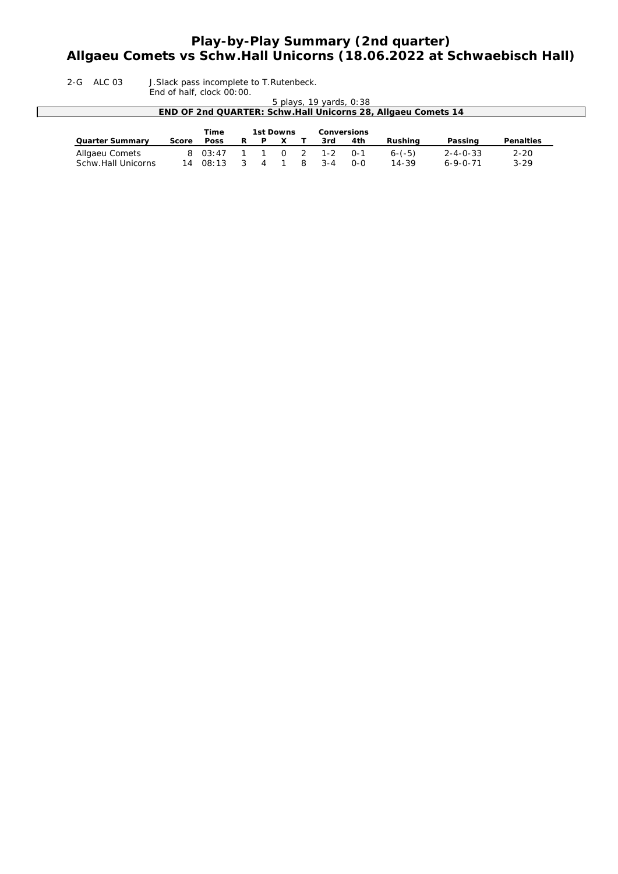# **Play-by-Play Summary (2nd quarter) Allgaeu Comets vs Schw.Hall Unicorns (18.06.2022 at Schwaebisch Hall)**

2-G ALC 03 J.Slack pass incomplete to T.Rutenbeck.

End of half, clock 00:00. *5 plays, 19 yards, 0:38* **END OF 2nd QUARTER: Schw.Hall Unicorns 28, Allgaeu Comets 14 Time 1st Downs Conversions**<br>**Score Poss R P X T 3rd 4th Quarter Summary Score Poss R P X T 3rd 4th Rushing Passing Penalties** Allgaeu Comets 8 03:47 1 1 0 2 1-2 0-1 6-(-5) 2-4-0-33 2-20 Schw.Hall Unicorns 14 08:13 3 4 1 8 3-4 0-0 14-39 6-9-0-71 3-29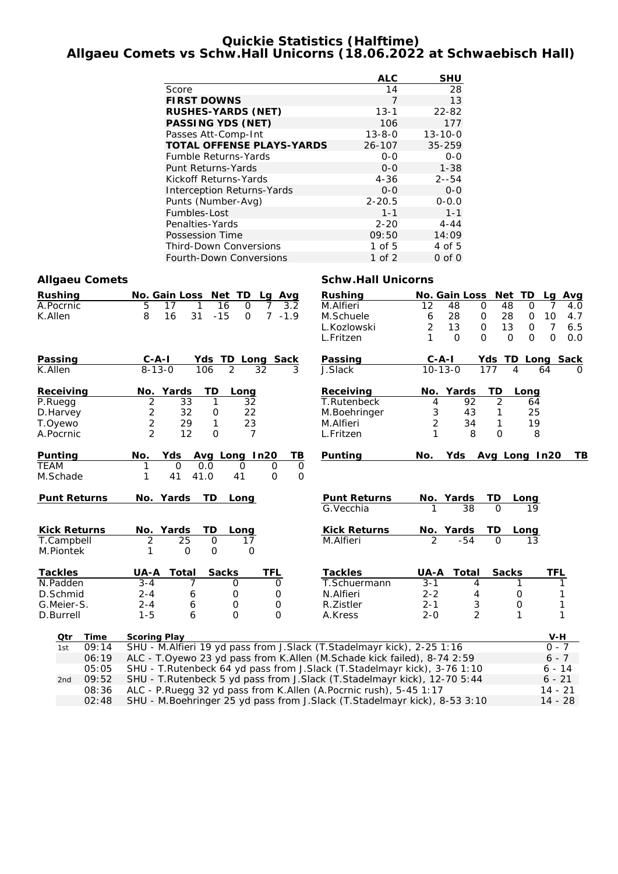### **Quickie Statistics (Halftime) Allgaeu Comets vs Schw.Hall Unicorns (18.06.2022 at Schwaebisch Hall)**

|                                   | <b>ALC</b>   | <b>SHU</b>    |
|-----------------------------------|--------------|---------------|
| Score                             | 14           | 28            |
| <b>FIRST DOWNS</b>                | 7            | 1.3           |
| <b>RUSHES-YARDS (NET)</b>         | $13 - 1$     | 22-82         |
| <b>PASSING YDS (NET)</b>          | 106          | 177           |
| Passes Att-Comp-Int               | $13 - 8 - 0$ | $13 - 10 - 0$ |
| <b>TOTAL OFFENSE PLAYS-YARDS</b>  | 26-107       | 35-259        |
| <b>Fumble Returns-Yards</b>       | $0 - 0$      | $O-O$         |
| Punt Returns-Yards                | $0 - 0$      | $1 - 38$      |
| Kickoff Returns-Yards             | $4 - 36$     | $2 - 54$      |
| <b>Interception Returns-Yards</b> | $0 - 0$      | $0 - 0$       |
| Punts (Number-Avg)                | $2 - 20.5$   | $0 - 0.0$     |
| Fumbles-Lost                      | $1 - 1$      | $1 - 1$       |
| Penalties-Yards                   | $2 - 20$     | $4 - 44$      |
| Possession Time                   | 09:50        | 14:09         |
| <b>Third-Down Conversions</b>     | 1 of $5$     | 4 of 5        |
| Fourth-Down Conversions           | 1 of 2       | $0$ of $0$    |

**Rushing No. Gain Loss Net TD Lg Avg** M.Alfieri 12 48 0 48 0 7 4.0<br>M.Schuele 6 28 0 28 0 10 4.7

L.Kozlowski 2 13 0 13 0 7 6.5 L.Fritzen 1 0 0 0 0 0 0.0

M.Schuele 6 28 0 28 0 10 4.7

### **Allgaeu Comets Schw.Hall Unicorns**

| Rushing   | No. Gain Loss Net TD Lg Avg |                      |  |  |  |
|-----------|-----------------------------|----------------------|--|--|--|
| A.Pocrnic |                             | 5 17 1 16 0 7 3.2    |  |  |  |
| K.Allen   |                             | 8 16 31 -15 0 7 -1.9 |  |  |  |

| Passing             | $C - A - I$       | Ydsl           | TD<br>Long Sack      |             | Passing                           | $C - A - I$ |                 | Yds TD  | Long Sack     |          |
|---------------------|-------------------|----------------|----------------------|-------------|-----------------------------------|-------------|-----------------|---------|---------------|----------|
| K.Allen             | $8 - 13 - 0$      | 106            | $\mathcal{P}$<br>32  | 3           | J.Slack                           |             | $10 - 13 - 0$   | 177     | 64<br>4       | $\Omega$ |
| Receiving           | Yards<br>No.      | TD             | Long                 |             | Receiving                         |             | No. Yards       | TD      | Long          |          |
| P.Ruegg             | 2                 | 33             | 32                   |             | T.Rutenbeck                       | 4           | 92              | 2       | 64            |          |
| D.Harvey            | 2                 | 32<br>0        | 22                   |             | M.Boehringer                      | 3           | 43              |         | 25            |          |
| T.Oyewo             | 2                 | 29             | 23                   |             | M.Alfieri                         | 2           | 34              |         | 19            |          |
| A.Pocrnic           | 2                 | 12<br>$\Omega$ |                      |             | L.Fritzen                         | 1           | 8               | O       | 8             |          |
| Puntina             | <b>Yds</b><br>No. |                | Avg Long In20        | ΤВ          | Punting                           | No.         | <b>Yds</b>      |         | Avg Long In20 | TВ       |
| <b>TEAM</b>         | 0                 | 0.0            | $\Omega$<br>$\Omega$ | $\mathbf 0$ |                                   |             |                 |         |               |          |
| M.Schade            | 41                | 41.0           | 41<br>0              | 0           |                                   |             |                 |         |               |          |
| <b>Punt Returns</b> | No. Yards         | TD.            | Long                 |             | <b>Punt Returns</b><br>G. Vecchia |             | No. Yards<br>38 | TD<br>O | Long<br>19    |          |
| <b>Kick Returns</b> | No. Yards         | TD.            | Lona                 |             | <b>Kick Returns</b>               |             | No. Yards       | TD      | Lona          |          |

| T.Campbell     |                 |       | 2                   | 25                                                                             | $\Omega$     | 17                 | M.Alfieri                                                                   | $\mathcal{P}$ | -54   | 0            | 13       |  |  |  |
|----------------|-----------------|-------|---------------------|--------------------------------------------------------------------------------|--------------|--------------------|-----------------------------------------------------------------------------|---------------|-------|--------------|----------|--|--|--|
| M.Piontek      |                 |       |                     | 0                                                                              | O            | Ω                  |                                                                             |               |       |              |          |  |  |  |
| <b>Tackles</b> |                 |       | UA-A                | Total                                                                          | <b>Sacks</b> | TFL                | <b>Tackles</b>                                                              | UA-A          | Total | <b>Sacks</b> | TFL      |  |  |  |
| N.Padden       |                 |       | $3 - 4$             |                                                                                |              | Ω<br>$\mathcal{L}$ | T.Schuermann                                                                | $3 - 1$       | 4     |              |          |  |  |  |
| D.Schmid       |                 |       | $2 - 4$             | 6                                                                              |              | Ω                  | N.Alfieri                                                                   | $2 - 2$       | 4     |              |          |  |  |  |
| G.Meier-S.     |                 |       | $2 - 4$             | 6                                                                              |              | O<br>Ο             | R. Zistler                                                                  | $2 - 1$       |       | O            |          |  |  |  |
| D.Burrell      |                 |       | 1-5                 | 6                                                                              |              | O<br>Ο             | A.Kress                                                                     | $2 - 0$       |       |              |          |  |  |  |
|                | Otr             | Time  | <b>Scoring Play</b> |                                                                                |              |                    |                                                                             |               |       |              | V-H      |  |  |  |
|                | 1st             | 09:14 |                     |                                                                                |              |                    | SHU - M.Alfieri 19 yd pass from J.Slack (T.Stadelmayr kick), 2-25 1:16      |               |       |              | $0 - 7$  |  |  |  |
|                |                 | 06:19 |                     |                                                                                |              |                    | ALC - T.Oyewo 23 yd pass from K.Allen (M.Schade kick failed), 8-74 2:59     |               |       |              | $6 - 7$  |  |  |  |
|                |                 | 05:05 |                     |                                                                                |              |                    | SHU - T. Rutenbeck 64 yd pass from J. Slack (T. Stadelmayr kick), 3-76 1:10 |               |       |              | $6 - 14$ |  |  |  |
|                | 2 <sub>nd</sub> | 09:52 |                     |                                                                                |              |                    | SHU - T. Rutenbeck 5 yd pass from J. Slack (T. Stadelmayr kick), 12-70 5:44 |               |       |              | $6 - 21$ |  |  |  |
|                |                 | 08:36 |                     | ALC - P.Ruegg 32 yd pass from K.Allen (A.Pocrnic rush), 5-45 1:17<br>$14 - 21$ |              |                    |                                                                             |               |       |              |          |  |  |  |
|                |                 |       |                     |                                                                                |              |                    |                                                                             |               |       |              |          |  |  |  |

02:48 SHU - M.Boehringer 25 yd pass from J.Slack (T.Stadelmayr kick), 8-53 3:10 14 - 28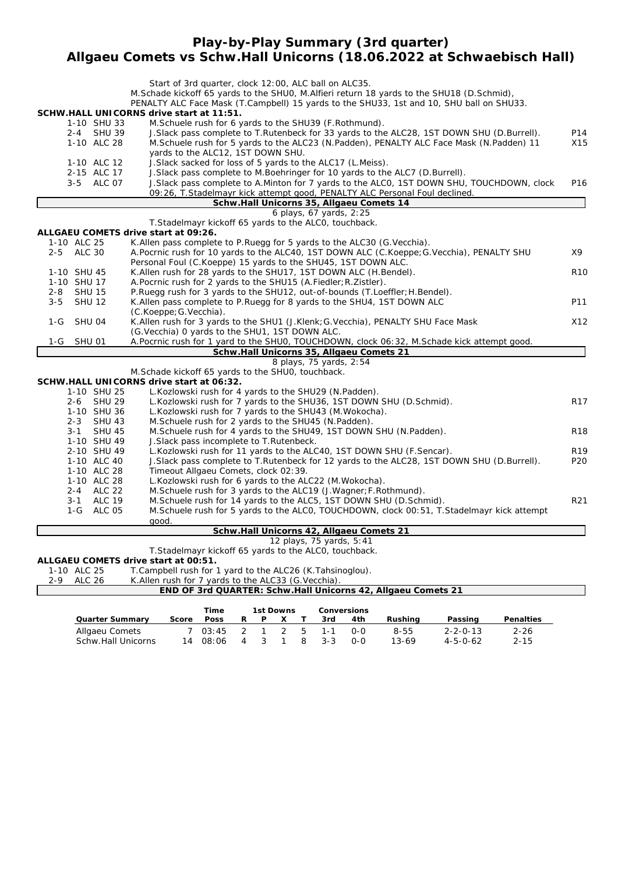### **Play-by-Play Summary (3rd quarter) Allgaeu Comets vs Schw.Hall Unicorns (18.06.2022 at Schwaebisch Hall)**

|                           |               |                              | Start of 3rd quarter, clock 12:00, ALC ball on ALC35.                                                                                                                                      |                 |
|---------------------------|---------------|------------------------------|--------------------------------------------------------------------------------------------------------------------------------------------------------------------------------------------|-----------------|
|                           |               |                              | M. Schade kickoff 65 yards to the SHU0, M. Alfieri return 18 yards to the SHU18 (D. Schmid),                                                                                               |                 |
|                           |               |                              | PENALTY ALC Face Mask (T.Campbell) 15 yards to the SHU33, 1st and 10, SHU ball on SHU33.                                                                                                   |                 |
|                           |               |                              | SCHW.HALL UNICORNS drive start at 11:51.                                                                                                                                                   |                 |
|                           |               | 1-10 SHU 33                  | M. Schuele rush for 6 yards to the SHU39 (F. Rothmund).                                                                                                                                    |                 |
|                           |               | 2-4 SHU 39<br>1-10 ALC 28    | J. Slack pass complete to T. Rutenbeck for 33 yards to the ALC28, 1ST DOWN SHU (D. Burrell).<br>M. Schuele rush for 5 yards to the ALC23 (N. Padden), PENALTY ALC Face Mask (N. Padden) 11 | P14<br>X15      |
|                           |               |                              | yards to the ALC12, 1ST DOWN SHU.                                                                                                                                                          |                 |
|                           |               | 1-10 ALC 12                  | J. Slack sacked for loss of 5 yards to the ALC17 (L. Meiss).                                                                                                                               |                 |
|                           |               | 2-15 ALC 17                  | J. Slack pass complete to M. Boehringer for 10 yards to the ALC7 (D. Burrell).                                                                                                             |                 |
|                           |               | 3-5 ALC 07                   | J. Slack pass complete to A. Minton for 7 yards to the ALCO, 1ST DOWN SHU, TOUCHDOWN, clock                                                                                                | P <sub>16</sub> |
|                           |               |                              | 09:26, T.Stadelmayr kick attempt good, PENALTY ALC Personal Foul declined.                                                                                                                 |                 |
|                           |               |                              | Schw.Hall Unicorns 35, Allgaeu Comets 14                                                                                                                                                   |                 |
|                           |               |                              | 6 plays, 67 yards, 2:25                                                                                                                                                                    |                 |
|                           |               |                              | T. Stadelmayr kickoff 65 yards to the ALCO, touchback.                                                                                                                                     |                 |
|                           |               |                              | ALLGAEU COMETS drive start at 09:26.                                                                                                                                                       |                 |
| 1-10 ALC 25<br>2-5 ALC 30 |               |                              | K. Allen pass complete to P. Ruegg for 5 yards to the ALC30 (G. Vecchia).<br>A.Pocrnic rush for 10 yards to the ALC40, 1ST DOWN ALC (C.Koeppe; G.Vecchia), PENALTY SHU                     | Χ9              |
|                           |               |                              | Personal Foul (C.Koeppe) 15 yards to the SHU45, 1ST DOWN ALC.                                                                                                                              |                 |
| 1-10 SHU 45               |               |                              | K. Allen rush for 28 yards to the SHU17, 1ST DOWN ALC (H. Bendel).                                                                                                                         | R <sub>10</sub> |
| 1-10 SHU 17               |               |                              | A.Pocrnic rush for 2 yards to the SHU15 (A.Fiedler; R.Zistler).                                                                                                                            |                 |
| 2-8                       | <b>SHU 15</b> |                              | P.Ruegg rush for 3 yards to the SHU12, out-of-bounds (T.Loeffler; H.Bendel).                                                                                                               |                 |
| $3 - 5$                   | <b>SHU 12</b> |                              | K.Allen pass complete to P.Ruegg for 8 yards to the SHU4, 1ST DOWN ALC                                                                                                                     | P11             |
|                           |               |                              | (C.Koeppe; G.Vecchia).                                                                                                                                                                     |                 |
| $1-G$                     | SHU 04        |                              | K. Allen rush for 3 yards to the SHU1 (J. Klenk; G. Vecchia), PENALTY SHU Face Mask                                                                                                        | X12             |
|                           |               |                              | (G. Vecchia) 0 yards to the SHU1, 1ST DOWN ALC.                                                                                                                                            |                 |
| $1-G$                     | <b>SHU 01</b> |                              | A.Pocrnic rush for 1 yard to the SHUO, TOUCHDOWN, clock 06:32, M.Schade kick attempt good.                                                                                                 |                 |
|                           |               |                              | Schw.Hall Unicorns 35, Allgaeu Comets 21                                                                                                                                                   |                 |
|                           |               |                              | 8 plays, 75 yards, 2:54                                                                                                                                                                    |                 |
|                           |               |                              | M. Schade kickoff 65 yards to the SHU0, touchback.                                                                                                                                         |                 |
|                           |               |                              | SCHW.HALL UNICORNS drive start at 06:32.                                                                                                                                                   |                 |
|                           | $2 - 6$       | 1-10 SHU 25<br><b>SHU 29</b> | L.Kozlowski rush for 4 yards to the SHU29 (N.Padden).<br>L. Kozlowski rush for 7 yards to the SHU36, 1ST DOWN SHU (D. Schmid).                                                             | R17             |
|                           |               | 1-10 SHU 36                  | L. Kozlowski rush for 7 yards to the SHU43 (M. Wokocha).                                                                                                                                   |                 |
|                           | $2 - 3$       | <b>SHU 43</b>                | M.Schuele rush for 2 yards to the SHU45 (N.Padden).                                                                                                                                        |                 |
|                           | $3 - 1$       | <b>SHU 45</b>                | M. Schuele rush for 4 yards to the SHU49, 1ST DOWN SHU (N. Padden).                                                                                                                        | R <sub>18</sub> |
|                           |               | 1-10 SHU 49                  | J. Slack pass incomplete to T. Rutenbeck.                                                                                                                                                  |                 |
|                           |               | 2-10 SHU 49                  | L.Kozlowski rush for 11 yards to the ALC40, 1ST DOWN SHU (F.Sencar).                                                                                                                       | R <sub>19</sub> |
|                           |               | 1-10 ALC 40                  | J. Slack pass complete to T. Rutenbeck for 12 yards to the ALC28, 1ST DOWN SHU (D. Burrell).                                                                                               | P <sub>20</sub> |
|                           |               | 1-10 ALC 28                  | Timeout Allgaeu Comets, clock 02:39.                                                                                                                                                       |                 |
|                           |               | 1-10 ALC 28                  | L. Kozlowski rush for 6 yards to the ALC22 (M. Wokocha).                                                                                                                                   |                 |
|                           |               | 2-4 ALC 22                   | M. Schuele rush for 3 yards to the ALC19 (J. Wagner; F. Rothmund).                                                                                                                         |                 |
|                           | $3 - 1$       | <b>ALC 19</b>                | M.Schuele rush for 14 yards to the ALC5, 1ST DOWN SHU (D.Schmid).                                                                                                                          | R21             |
|                           |               | 1-G ALC 05                   | M.Schuele rush for 5 yards to the ALCO, TOUCHDOWN, clock 00:51, T.Stadelmayr kick attempt                                                                                                  |                 |
|                           |               |                              | good.<br>Schw.Hall Unicorns 42, Allgaeu Comets 21                                                                                                                                          |                 |
|                           |               |                              | 12 plays, 75 yards, 5:41                                                                                                                                                                   |                 |
|                           |               |                              | T. Stadelmayr kickoff 65 yards to the ALCO, touchback.                                                                                                                                     |                 |
|                           |               |                              | ALLGAEU COMETS drive start at 00:51.                                                                                                                                                       |                 |
| 1-10 ALC 25               |               |                              | T.Campbell rush for 1 yard to the ALC26 (K.Tahsinoglou).                                                                                                                                   |                 |

2-9 ALC 26 K.Allen rush for 7 yards to the ALC33 (G.Vecchia).

|                        |       |                 |   |           |   |         |                    | END OF 3rd QUARTER: Schw.Hall Unicorns 42, Allgaeu Comets 21 |                  |                  |
|------------------------|-------|-----------------|---|-----------|---|---------|--------------------|--------------------------------------------------------------|------------------|------------------|
|                        |       |                 |   |           |   |         |                    |                                                              |                  |                  |
|                        |       | Time            |   | 1st Downs |   |         | <b>Conversions</b> |                                                              |                  |                  |
| <b>Quarter Summary</b> | Score | <b>Poss</b>     | R | P         |   | 3rd     | 4th                | Rushina                                                      | Passing          | <b>Penalties</b> |
| Allgaeu Comets         |       | 7 03:45 2 1 2 5 |   |           |   | $1 - 1$ | റ-റ                | 8-55                                                         | $2 - 2 - 0 - 13$ | $2 - 26$         |
| Schw.Hall Unicorns     | 14    | 08:06           | 4 | ્ર        | 8 | $3 - 3$ | 0-0                | $13-69$                                                      | $4 - 5 - 0 - 62$ | $2 - 15$         |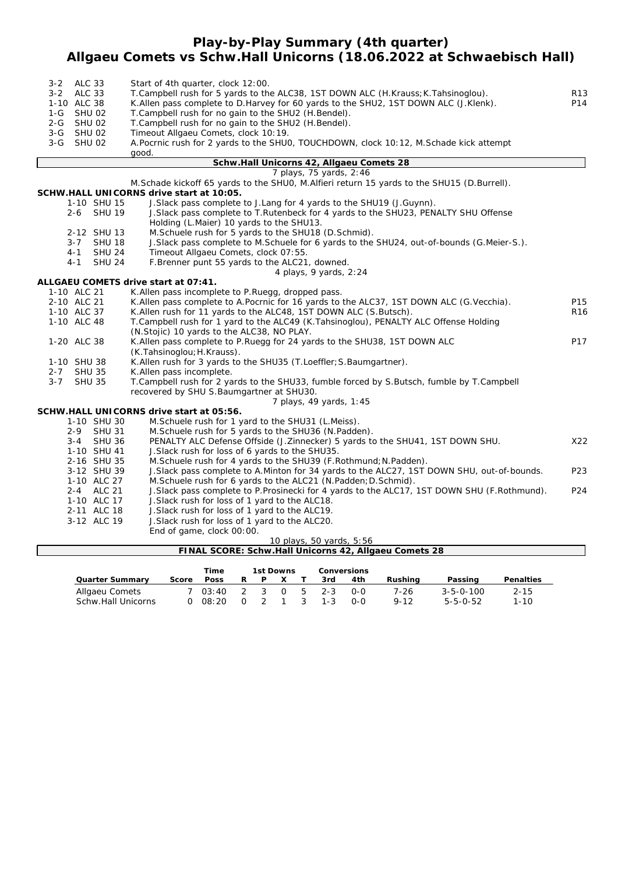### **Play-by-Play Summary (4th quarter) Allgaeu Comets vs Schw.Hall Unicorns (18.06.2022 at Schwaebisch Hall)**

| 3-2 ALC 33<br>$3 - 2$<br><b>ALC 33</b><br>1-10 ALC 38<br>$1-G$<br><b>SHU 02</b><br>2-G SHU 02 | Start of 4th quarter, clock 12:00.<br>T. Campbell rush for 5 yards to the ALC38, 1ST DOWN ALC (H. Krauss; K. Tahsinoglou).<br>K.Allen pass complete to D.Harvey for 60 yards to the SHU2, 1ST DOWN ALC (J.Klenk).<br>T.Campbell rush for no gain to the SHU2 (H.Bendel).<br>T.Campbell rush for no gain to the SHU2 (H.Bendel). | R13<br>P14 |
|-----------------------------------------------------------------------------------------------|---------------------------------------------------------------------------------------------------------------------------------------------------------------------------------------------------------------------------------------------------------------------------------------------------------------------------------|------------|
| 3-G SHU 02                                                                                    | Timeout Allgaeu Comets, clock 10:19.                                                                                                                                                                                                                                                                                            |            |
| 3-G SHU 02                                                                                    | A. Pocrnic rush for 2 yards to the SHUO, TOUCHDOWN, clock 10:12, M. Schade kick attempt                                                                                                                                                                                                                                         |            |
|                                                                                               | good.                                                                                                                                                                                                                                                                                                                           |            |
|                                                                                               | Schw.Hall Unicorns 42, Allgaeu Comets 28                                                                                                                                                                                                                                                                                        |            |
|                                                                                               | 7 plays, 75 yards, 2:46                                                                                                                                                                                                                                                                                                         |            |
|                                                                                               | M. Schade kickoff 65 yards to the SHUO, M. Alfieri return 15 yards to the SHU15 (D. Burrell).<br>SCHW.HALL UNICORNS drive start at 10:05.                                                                                                                                                                                       |            |
| 1-10 SHU 15                                                                                   | J. Slack pass complete to J. Lang for 4 yards to the SHU19 (J. Guynn).                                                                                                                                                                                                                                                          |            |
| 2-6 SHU 19                                                                                    | J. Slack pass complete to T. Rutenbeck for 4 yards to the SHU23, PENALTY SHU Offense                                                                                                                                                                                                                                            |            |
|                                                                                               | Holding (L.Maier) 10 yards to the SHU13.                                                                                                                                                                                                                                                                                        |            |
| 2-12 SHU 13                                                                                   | M. Schuele rush for 5 yards to the SHU18 (D. Schmid).                                                                                                                                                                                                                                                                           |            |
| $3 - 7$<br><b>SHU 18</b><br>$4 - 1$<br><b>SHU 24</b>                                          | J. Slack pass complete to M. Schuele for 6 yards to the SHU24, out-of-bounds (G. Meier-S.).<br>Timeout Allgaeu Comets, clock 07:55.                                                                                                                                                                                             |            |
| $4 - 1$<br><b>SHU 24</b>                                                                      | F.Brenner punt 55 yards to the ALC21, downed.                                                                                                                                                                                                                                                                                   |            |
|                                                                                               | 4 plays, 9 yards, 2:24                                                                                                                                                                                                                                                                                                          |            |
|                                                                                               | ALLGAEU COMETS drive start at 07:41.                                                                                                                                                                                                                                                                                            |            |
| 1-10 ALC 21                                                                                   | K.Allen pass incomplete to P.Ruegg, dropped pass.                                                                                                                                                                                                                                                                               |            |
| 2-10 ALC 21                                                                                   | K.Allen pass complete to A.Pocrnic for 16 yards to the ALC37, 1ST DOWN ALC (G.Vecchia).                                                                                                                                                                                                                                         | P15        |
| 1-10 ALC 37                                                                                   | K.Allen rush for 11 yards to the ALC48, 1ST DOWN ALC (S.Butsch).                                                                                                                                                                                                                                                                | R16        |
| 1-10 ALC 48                                                                                   | T.Campbell rush for 1 yard to the ALC49 (K.Tahsinoglou), PENALTY ALC Offense Holding                                                                                                                                                                                                                                            |            |
|                                                                                               | (N.Stojic) 10 yards to the ALC38, NO PLAY.                                                                                                                                                                                                                                                                                      |            |
| 1-20 ALC 38                                                                                   | K. Allen pass complete to P. Ruegg for 24 yards to the SHU38, 1ST DOWN ALC                                                                                                                                                                                                                                                      | P17        |
| 1-10 SHU 38                                                                                   | (K.Tahsinoglou; H.Krauss).<br>K. Allen rush for 3 yards to the SHU35 (T. Loeffler; S. Baumgartner).                                                                                                                                                                                                                             |            |
| <b>SHU 35</b><br>$2 - 7$                                                                      | K.Allen pass incomplete.                                                                                                                                                                                                                                                                                                        |            |
| $3 - 7$<br><b>SHU 35</b>                                                                      | T.Campbell rush for 2 yards to the SHU33, fumble forced by S.Butsch, fumble by T.Campbell                                                                                                                                                                                                                                       |            |
|                                                                                               | recovered by SHU S. Baumgartner at SHU30.                                                                                                                                                                                                                                                                                       |            |
|                                                                                               | 7 plays, 49 yards, 1:45                                                                                                                                                                                                                                                                                                         |            |
|                                                                                               | SCHW.HALL UNICORNS drive start at 05:56.                                                                                                                                                                                                                                                                                        |            |
| 1-10 SHU 30                                                                                   | M. Schuele rush for 1 yard to the SHU31 (L. Meiss).                                                                                                                                                                                                                                                                             |            |
| $2 - 9$<br><b>SHU 31</b>                                                                      | M. Schuele rush for 5 yards to the SHU36 (N. Padden).                                                                                                                                                                                                                                                                           |            |
| <b>SHU 36</b><br>$3 - 4$                                                                      | PENALTY ALC Defense Offside (J.Zinnecker) 5 yards to the SHU41, 1ST DOWN SHU.                                                                                                                                                                                                                                                   | X22        |
| 1-10 SHU 41<br>2-16 SHU 35                                                                    | J. Slack rush for loss of 6 yards to the SHU35.<br>M. Schuele rush for 4 yards to the SHU39 (F. Rothmund; N. Padden).                                                                                                                                                                                                           |            |
| 3-12 SHU 39                                                                                   | J. Slack pass complete to A. Minton for 34 yards to the ALC27, 1ST DOWN SHU, out-of-bounds.                                                                                                                                                                                                                                     | P23        |
| 1-10 ALC 27                                                                                   | M. Schuele rush for 6 yards to the ALC21 (N. Padden; D. Schmid).                                                                                                                                                                                                                                                                |            |
| 2-4 ALC 21                                                                                    | J. Slack pass complete to P. Prosinecki for 4 yards to the ALC17, 1ST DOWN SHU (F. Rothmund).                                                                                                                                                                                                                                   | P24        |
| 1-10 ALC 17                                                                                   | J. Slack rush for loss of 1 yard to the ALC18.                                                                                                                                                                                                                                                                                  |            |
| 2-11 ALC 18                                                                                   | J. Slack rush for loss of 1 yard to the ALC19.                                                                                                                                                                                                                                                                                  |            |
| 3-12 ALC 19                                                                                   | J. Slack rush for loss of 1 yard to the ALC20.                                                                                                                                                                                                                                                                                  |            |
|                                                                                               | End of game, clock 00:00.                                                                                                                                                                                                                                                                                                       |            |
|                                                                                               | 10 plays, 50 yards, 5:56                                                                                                                                                                                                                                                                                                        |            |
|                                                                                               | FINAL SCORE: Schw.Hall Unicorns 42, Allgaeu Comets 28                                                                                                                                                                                                                                                                           |            |

|                        |       | Time        | 1st Downs |    |  |     | <b>Conversions</b> |     |          |                   |                  |
|------------------------|-------|-------------|-----------|----|--|-----|--------------------|-----|----------|-------------------|------------------|
| <b>Quarter Summary</b> | Score | <b>Poss</b> | R.        | P. |  |     | 3rd                | 4th | Rushina  | Passing           | <b>Penalties</b> |
| Allgaeu Comets         |       | 03:40       |           |    |  |     | 3 0 5 2-3          | റ-റ | 7-26     | $3 - 5 - 0 - 100$ | $2 - 15$         |
| Schw.Hall Unicorns     |       | 08:20       |           |    |  | - 3 | $1 - 3$            | n-n | $9 - 12$ | $5 - 5 - 0 - 52$  | $1 - 10$         |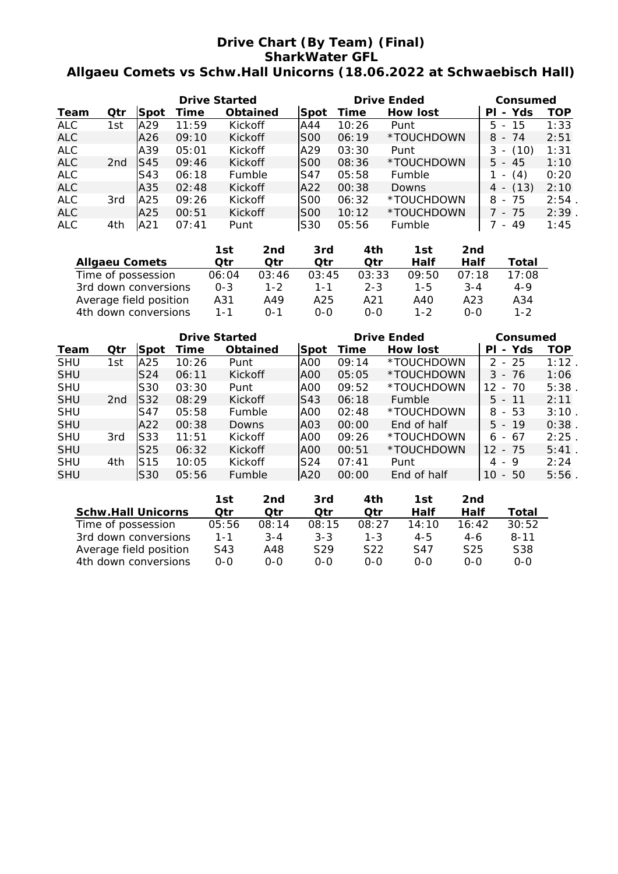# **Drive Chart (By Team) (Final) SharkWater GFL Allgaeu Comets vs Schw.Hall Unicorns (18.06.2022 at Schwaebisch Hall)**

|            |                 |             | <b>Drive Started</b> |                 |            | <b>Drive Ended</b> | Consumed        |             |          |
|------------|-----------------|-------------|----------------------|-----------------|------------|--------------------|-----------------|-------------|----------|
| Team       | Qtr             | <b>Spot</b> | Time                 | <b>Obtained</b> | Spot       | Time               | <b>How lost</b> | - Yds<br>ΡI | TOP      |
| ALC.       | 1st             | IA29        | 11:59                | Kickoff         | IA44       | 10:26              | Punt            | $5 - 15$    | 1:33     |
| ALC        |                 | A26         | 09:10                | <b>Kickoff</b>  | SOO        | 06:19              | *TOUCHDOWN      | $8 - 74$    | 2:51     |
| <b>ALC</b> |                 | lA39        | 05:01                | <b>Kickoff</b>  | A29        | 03:30              | Punt            | - (10)<br>3 | 1:31     |
| <b>ALC</b> | 2 <sub>nd</sub> | IS45        | 09:46                | <b>Kickoff</b>  | SOO        | 08:36              | *TOUCHDOWN      | $5 - 45$    | 1:10     |
| ALC        |                 | S43         | 06:18                | <b>Fumble</b>   | lS47       | 05:58              | Fumble          | $- (4)$     | 0:20     |
| <b>ALC</b> |                 | A35         | 02:48                | <b>Kickoff</b>  | lA22       | 00:38              | <b>Downs</b>    | $4 - (13)$  | 2:10     |
| <b>ALC</b> | 3rd             | lA25        | 09:26                | Kickoff         | lSOO       | 06:32              | *TOUCHDOWN      | $8 - 75$    | $2:54$ . |
| <b>ALC</b> |                 | A25         | 00:51                | <b>Kickoff</b>  | SOO        | 10:12              | *TOUCHDOWN      | 7 - 75      | $2:39$ . |
| <b>ALC</b> | 4th             | IA21        | 07:41                | Punt            | <b>S30</b> | 05:56              | Fumble          | - 49        | 1:45     |

|                        | 1st     | 2nd     | 3rd     | 4th     | 1st     | 2nd     |         |
|------------------------|---------|---------|---------|---------|---------|---------|---------|
| <b>Allgaeu Comets</b>  | Otr     | Otr     | Otr     | Otr     | Half    | Half    | Total   |
| Time of possession     | 06:04   | 03:46   | 03:45   | 03:33   | 09:50   | 07:18   | 17:08   |
| 3rd down conversions   | $0 - 3$ | $1 - 2$ | $1 - 1$ | $2 - 3$ | $1 - 5$ | $3 - 4$ | $4 - 9$ |
| Average field position | A31     | A49     | A25     | A21     | A40     | A23     | A34     |
| 4th down conversions   | 1 - 1   | ∩−1     | ი-ი     | $O-O$   | 1-2     | 0-0     | $1 - 2$ |

|             |                 |                 | <b>Drive Started</b> |                |      | <b>Drive Ended</b> | Consumed    |                          |      |
|-------------|-----------------|-----------------|----------------------|----------------|------|--------------------|-------------|--------------------------|------|
| <b>Team</b> | Qtr             | <b>Spot</b>     | Time                 | Obtained       | Spot | Time               | How lost    | Yds<br>PL<br>$\sim$      | TOP  |
| <b>SHU</b>  | 1st             | A25             | 10:26                | Punt           | AOO. | 09:14              | *TOUCHDOWN  | $2 - 25$                 | 1:12 |
| <b>SHU</b>  |                 | S <sub>24</sub> | 06:11                | <b>Kickoff</b> | AOO! | 05:05              | *TOUCHDOWN  | $3 - 76$                 | 1:06 |
| <b>SHU</b>  |                 | S <sub>30</sub> | 03:30                | Punt           | AOO  | 09:52              | *TOUCHDOWN  | - 70<br>12               | 5:38 |
| <b>SHU</b>  | 2 <sub>nd</sub> | S32             | 08:29                | <b>Kickoff</b> | S43  | 06:18              | Fumble      | $5 - 11$                 | 2:11 |
| <b>SHU</b>  |                 | S47             | 05:58                | <b>Fumble</b>  | IAOO | 02:48              | *TOUCHDOWN  | 8<br>- 53                | 3:10 |
| <b>SHU</b>  |                 | IA22            | 00:38                | Downs          | AO3  | 00:00              | End of half | $5 - 19$                 | 0:38 |
| <b>SHU</b>  | 3rd             | S33             | 11:51                | <b>Kickoff</b> | IAOO | 09:26              | *TOUCHDOWN  | - 67<br>6                | 2:25 |
| <b>SHU</b>  |                 | S25             | 06:32                | <b>Kickoff</b> | IAOO | 00:51              | *TOUCHDOWN  | 12 <sup>°</sup><br>$-75$ | 5:41 |
| <b>SHU</b>  | 4th             | IS15            | 10:05                | Kickoff        | S24  | 07:41              | Punt        | 4 - 9                    | 2:24 |
| <b>SHU</b>  |                 | S30             | 05:56                | <b>Fumble</b>  | IA20 | 00:00              | End of half | 50<br>10<br>$\sim$       | 5:56 |

|                           | 1st   | 2nd     | 3rd             | 4th     | 1st     | 2nd             |                 |
|---------------------------|-------|---------|-----------------|---------|---------|-----------------|-----------------|
| <b>Schw.Hall Unicorns</b> | Qtr   | Otr     | Otr             | Otr     | Half    | Half            | Total           |
| Time of possession        | 05:56 | 08:14   | 08:15           | 08:27   | 14:10   | 16:42           | 30:52           |
| 3rd down conversions      | 1-1   | $3 - 4$ | $3 - 3$         | $1 - 3$ | $4 - 5$ | $4-6$           | $8 - 11$        |
| Average field position    | S43   | A48     | S <sub>29</sub> | S22     | S47     | S <sub>25</sub> | S <sub>38</sub> |
| 4th down conversions      | 0-0   | 0-0     | 0-0             | $0 - 0$ | 0-0     | ი-ი             | $O-O$           |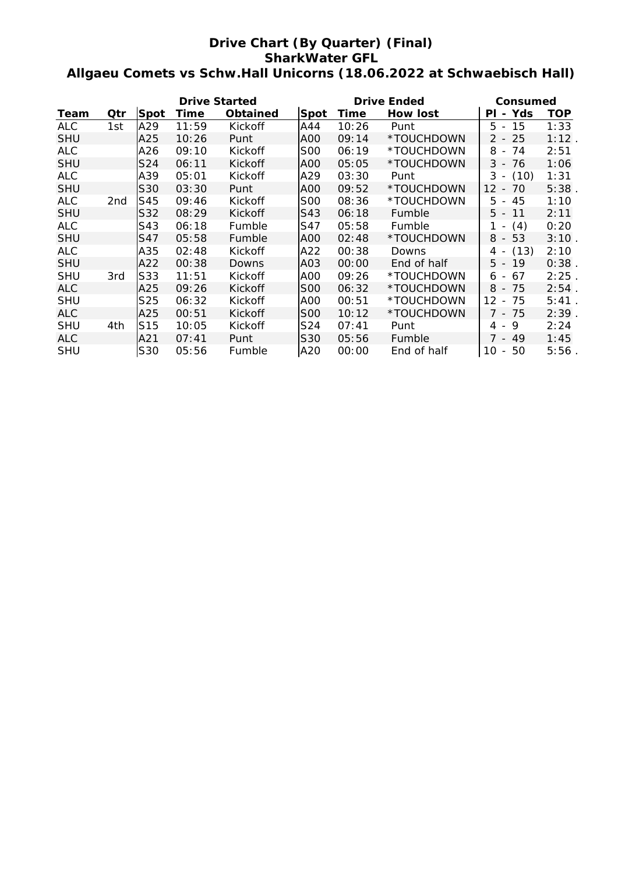# **Drive Chart (By Quarter) (Final) SharkWater GFL Allgaeu Comets vs Schw.Hall Unicorns (18.06.2022 at Schwaebisch Hall)**

|            |     |                 | <b>Drive Started</b> |                 |            | <b>Drive Ended</b> | Consumed        |                                           |            |
|------------|-----|-----------------|----------------------|-----------------|------------|--------------------|-----------------|-------------------------------------------|------------|
| Team       | Qtr | Spot            | Time                 | <b>Obtained</b> | Spot       | <b>Time</b>        | <b>How lost</b> | - Yds<br>ΡI                               | <b>TOP</b> |
| <b>ALC</b> | 1st | A29             | 11:59                | Kickoff         | A44        | 10:26              | Punt            | 15<br>5 -                                 | 1:33       |
| <b>SHU</b> |     | A25             | 10:26                | Punt            | AOO        | 09:14              | *TOUCHDOWN      | 25<br>$2 -$                               | 1:12       |
| <b>ALC</b> |     | A26             | 09:10                | Kickoff         | <b>S00</b> | 06:19              | *TOUCHDOWN      | 8<br>74<br>$\overline{\phantom{a}}$       | 2:51       |
| <b>SHU</b> |     | S24             | 06:11                | Kickoff         | AOO        | 05:05              | *TOUCHDOWN      | 76<br>$3 -$                               | 1:06       |
| <b>ALC</b> |     | A39             | 05:01                | Kickoff         | A29        | 03:30              | Punt            | $3 -$<br>(10)                             | 1:31       |
| <b>SHU</b> |     | S30             | 03:30                | Punt            | AOO        | 09:52              | *TOUCHDOWN      | 12<br>70<br>$\blacksquare$                | 5:38       |
| <b>ALC</b> | 2nd | S45             | 09:46                | Kickoff         | <b>SOO</b> | 08:36              | *TOUCHDOWN      | 5 -<br>45                                 | 1:10       |
| <b>SHU</b> |     | S32             | 08:29                | Kickoff         | S43        | 06:18              | Fumble          | $5 -$<br>11                               | 2:11       |
| <b>ALC</b> |     | S43             | 06:18                | Fumble          | S47        | 05:58              | Fumble          | (4)<br>1 -                                | 0:20       |
| <b>SHU</b> |     | S47             | 05:58                | Fumble          | A00        | 02:48              | *TOUCHDOWN      | 53<br>8 -                                 | 3:10       |
| <b>ALC</b> |     | A35             | 02:48                | Kickoff         | A22        | 00:38              | Downs           | (13)<br>4 -                               | 2:10       |
| <b>SHU</b> |     | A22             | 00:38                | Downs           | A03        | 00:00              | End of half     | $5 -$<br>19                               | 0:38       |
| <b>SHU</b> | 3rd | S33             | 11:51                | Kickoff         | A00        | 09:26              | *TOUCHDOWN      | 67<br>6 -                                 | 2:25       |
| ALC.       |     | A25             | 09:26                | Kickoff         | <b>SOO</b> | 06:32              | *TOUCHDOWN      | 8<br>75<br>$\overline{\phantom{a}}$       | 2:54.      |
| <b>SHU</b> |     | S <sub>25</sub> | 06:32                | Kickoff         | AOO        | 00:51              | *TOUCHDOWN      | $12 \overline{ }$<br>75<br>$\blacksquare$ | 5:41       |
| <b>ALC</b> |     | A25             | 00:51                | Kickoff         | <b>SOO</b> | 10:12              | *TOUCHDOWN      | $7 -$<br>75                               | 2:39.      |
| <b>SHU</b> | 4th | S <sub>15</sub> | 10:05                | Kickoff         | S24        | 07:41              | Punt            | 9<br>4 -                                  | 2:24       |
| ALC        |     | A21             | 07:41                | Punt            | S30        | 05:56              | Fumble          | 7 - 49                                    | 1:45       |
| <b>SHU</b> |     | S30             | 05:56                | Fumble          | A20        | 00:00              | End of half     | 10<br>50<br>$\overline{\phantom{a}}$      | 5:56       |